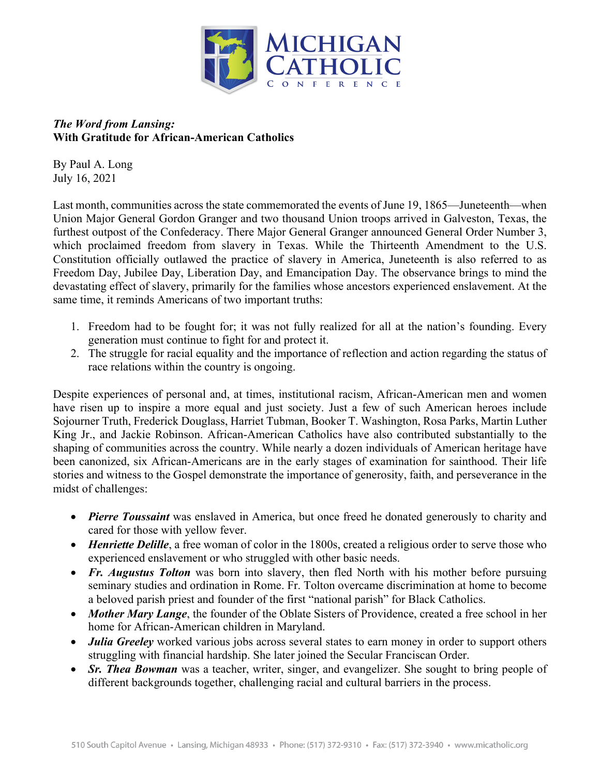

## *The Word from Lansing:* **With Gratitude for African-American Catholics**

By Paul A. Long July 16, 2021

Last month, communities across the state commemorated the events of June 19, 1865—Juneteenth—when Union Major General Gordon Granger and two thousand Union troops arrived in Galveston, Texas, the furthest outpost of the Confederacy. There Major General Granger announced General Order Number 3, which proclaimed freedom from slavery in Texas. While the Thirteenth Amendment to the U.S. Constitution officially outlawed the practice of slavery in America, Juneteenth is also referred to as Freedom Day, Jubilee Day, Liberation Day, and Emancipation Day. The observance brings to mind the devastating effect of slavery, primarily for the families whose ancestors experienced enslavement. At the same time, it reminds Americans of two important truths:

- 1. Freedom had to be fought for; it was not fully realized for all at the nation's founding. Every generation must continue to fight for and protect it.
- 2. The struggle for racial equality and the importance of reflection and action regarding the status of race relations within the country is ongoing.

Despite experiences of personal and, at times, institutional racism, African-American men and women have risen up to inspire a more equal and just society. Just a few of such American heroes include Sojourner Truth, Frederick Douglass, Harriet Tubman, Booker T. Washington, Rosa Parks, Martin Luther King Jr., and Jackie Robinson. African-American Catholics have also contributed substantially to the shaping of communities across the country. While nearly a dozen individuals of American heritage have been canonized, six African-Americans are in the early stages of examination for sainthood. Their life stories and witness to the Gospel demonstrate the importance of generosity, faith, and perseverance in the midst of challenges:

- *Pierre Toussaint* was enslaved in America, but once freed he donated generously to charity and cared for those with yellow fever.
- *Henriette Delille*, a free woman of color in the 1800s, created a religious order to serve those who experienced enslavement or who struggled with other basic needs.
- *Fr. Augustus Tolton* was born into slavery, then fled North with his mother before pursuing seminary studies and ordination in Rome. Fr. Tolton overcame discrimination at home to become a beloved parish priest and founder of the first "national parish" for Black Catholics.
- *Mother Mary Lange*, the founder of the Oblate Sisters of Providence, created a free school in her home for African-American children in Maryland.
- *Julia Greeley* worked various jobs across several states to earn money in order to support others struggling with financial hardship. She later joined the Secular Franciscan Order.
- *Sr. Thea Bowman* was a teacher, writer, singer, and evangelizer. She sought to bring people of different backgrounds together, challenging racial and cultural barriers in the process.